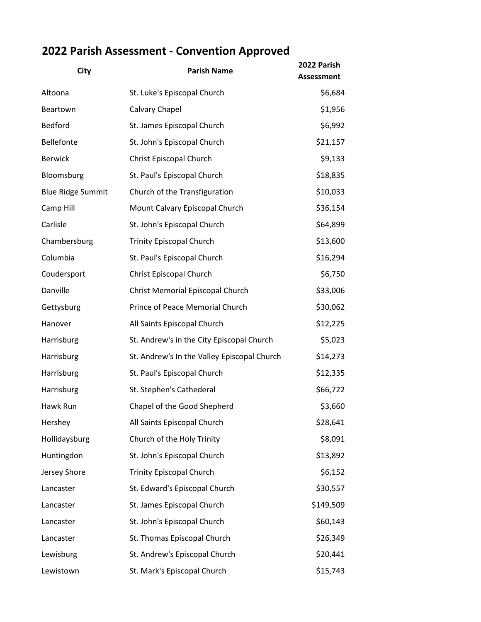## **2022 Parish Assessment - Convention Approved**

| <b>City</b>              | <b>Parish Name</b>                          | 2022 Parish<br><b>Assessment</b> |
|--------------------------|---------------------------------------------|----------------------------------|
| Altoona                  | St. Luke's Episcopal Church                 | \$6,684                          |
| Beartown                 | Calvary Chapel                              | \$1,956                          |
| Bedford                  | St. James Episcopal Church                  | \$6,992                          |
| Bellefonte               | St. John's Episcopal Church                 | \$21,157                         |
| <b>Berwick</b>           | Christ Episcopal Church                     | \$9,133                          |
| Bloomsburg               | St. Paul's Episcopal Church                 | \$18,835                         |
| <b>Blue Ridge Summit</b> | Church of the Transfiguration               | \$10,033                         |
| Camp Hill                | Mount Calvary Episcopal Church              | \$36,154                         |
| Carlisle                 | St. John's Episcopal Church                 | \$64,899                         |
| Chambersburg             | <b>Trinity Episcopal Church</b>             | \$13,600                         |
| Columbia                 | St. Paul's Episcopal Church                 | \$16,294                         |
| Coudersport              | Christ Episcopal Church                     | \$6,750                          |
| Danville                 | Christ Memorial Episcopal Church            | \$33,006                         |
| Gettysburg               | Prince of Peace Memorial Church             | \$30,062                         |
| Hanover                  | All Saints Episcopal Church                 | \$12,225                         |
| Harrisburg               | St. Andrew's in the City Episcopal Church   | \$5,023                          |
| Harrisburg               | St. Andrew's In the Valley Episcopal Church | \$14,273                         |
| Harrisburg               | St. Paul's Episcopal Church                 | \$12,335                         |
| Harrisburg               | St. Stephen's Cathederal                    | \$66,722                         |
| Hawk Run                 | Chapel of the Good Shepherd                 | \$3,660                          |
| Hershey                  | All Saints Episcopal Church                 | \$28,641                         |
| Hollidaysburg            | Church of the Holy Trinity                  | \$8,091                          |
| Huntingdon               | St. John's Episcopal Church                 | \$13,892                         |
| Jersey Shore             | <b>Trinity Episcopal Church</b>             | \$6,152                          |
| Lancaster                | St. Edward's Episcopal Church               | \$30,557                         |
| Lancaster                | St. James Episcopal Church                  | \$149,509                        |
| Lancaster                | St. John's Episcopal Church                 | \$60,143                         |
| Lancaster                | St. Thomas Episcopal Church                 | \$26,349                         |
| Lewisburg                | St. Andrew's Episcopal Church               | \$20,441                         |
| Lewistown                | St. Mark's Episcopal Church                 | \$15,743                         |